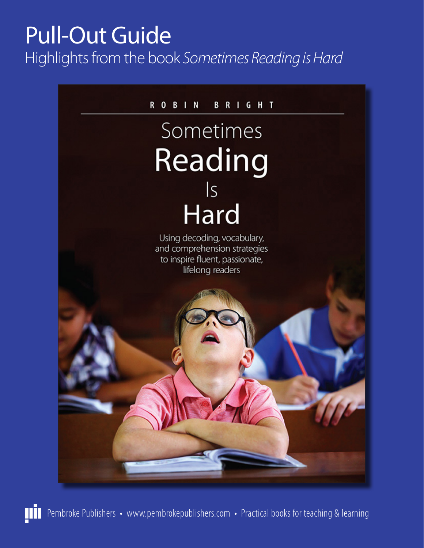# Pull-Out Guide Highlights from the book *Sometimes Reading is Hard*

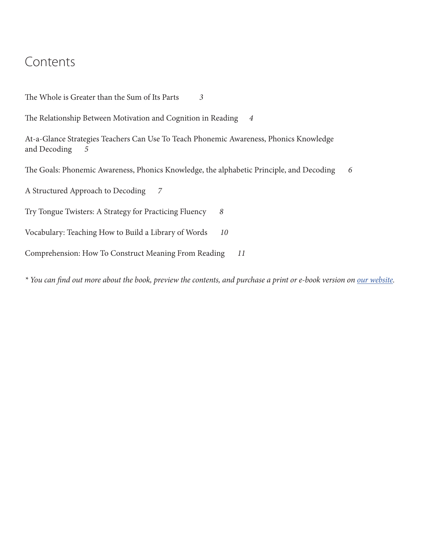### Contents

The Whole is Greater than the Sum of Its Parts *3* The Relationship Between Motivation and Cognition in Reading *4* At-a-Glance Strategies Teachers Can Use To Teach Phonemic Awareness, Phonics Knowledge and Decoding *5* The Goals: Phonemic Awareness, Phonics Knowledge, the alphabetic Principle, and Decoding *6* A Structured Approach to Decoding *7* Try Tongue Twisters: A Strategy for Practicing Fluency *8* Vocabulary: Teaching How to Build a Library of Words *10* Comprehension: How To Construct Meaning From Reading *11*

*\* You can find out more about the book, preview the contents, and purchase a print or e-book version on [our website.](https://www.pembrokepublishers.com/book.cgi?isbn=9781551383514)*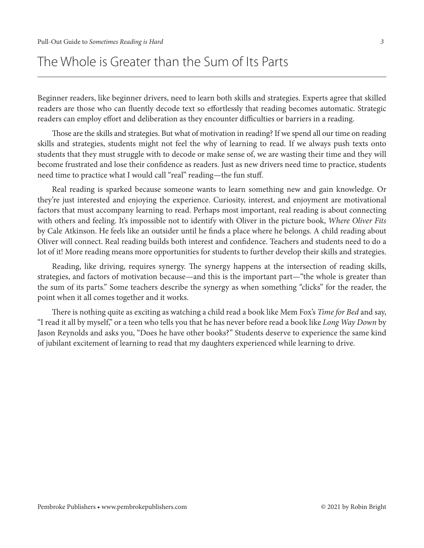### The Whole is Greater than the Sum of Its Parts

Beginner readers, like beginner drivers, need to learn both skills and strategies. Experts agree that skilled readers are those who can fluently decode text so effortlessly that reading becomes automatic. Strategic readers can employ effort and deliberation as they encounter difficulties or barriers in a reading.

Those are the skills and strategies. But what of motivation in reading? If we spend all our time on reading skills and strategies, students might not feel the why of learning to read. If we always push texts onto students that they must struggle with to decode or make sense of, we are wasting their time and they will become frustrated and lose their confidence as readers. Just as new drivers need time to practice, students need time to practice what I would call "real" reading—the fun stuff.

Real reading is sparked because someone wants to learn something new and gain knowledge. Or they're just interested and enjoying the experience. Curiosity, interest, and enjoyment are motivational factors that must accompany learning to read. Perhaps most important, real reading is about connecting with others and feeling. It's impossible not to identify with Oliver in the picture book, *Where Oliver Fits*  by Cale Atkinson. He feels like an outsider until he finds a place where he belongs. A child reading about Oliver will connect. Real reading builds both interest and confidence. Teachers and students need to do a lot of it! More reading means more opportunities for students to further develop their skills and strategies.

Reading, like driving, requires synergy. The synergy happens at the intersection of reading skills, strategies, and factors of motivation because—and this is the important part—"the whole is greater than the sum of its parts." Some teachers describe the synergy as when something "clicks" for the reader, the point when it all comes together and it works.

There is nothing quite as exciting as watching a child read a book like Mem Fox's *Time for Bed* and say, "I read it all by myself," or a teen who tells you that he has never before read a book like *Long Way Down* by Jason Reynolds and asks you, "Does he have other books?" Students deserve to experience the same kind of jubilant excitement of learning to read that my daughters experienced while learning to drive.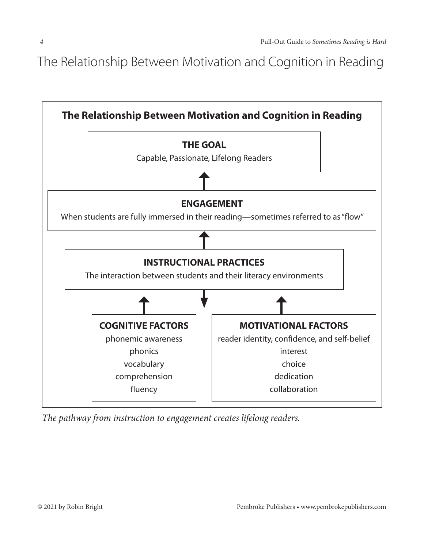The Relationship Between Motivation and Cognition in Reading dence that their instructional practices to develop students' reading skills and students' reading skills and



*The pathway from instruction to engagement creates lifelong readers.*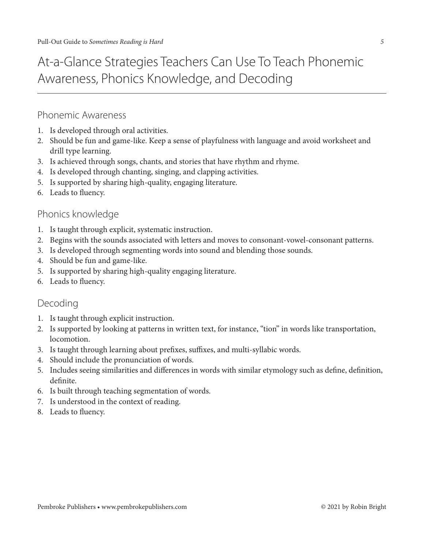### Phonemic Awareness

- 1. Is developed through oral activities.
- 2. Should be fun and game-like. Keep a sense of playfulness with language and avoid worksheet and drill type learning.
- 3. Is achieved through songs, chants, and stories that have rhythm and rhyme.
- 4. Is developed through chanting, singing, and clapping activities.
- 5. Is supported by sharing high-quality, engaging literature.
- 6. Leads to fluency.

### Phonics knowledge

- 1. Is taught through explicit, systematic instruction.
- 2. Begins with the sounds associated with letters and moves to consonant-vowel-consonant patterns.
- 3. Is developed through segmenting words into sound and blending those sounds.
- 4. Should be fun and game-like.
- 5. Is supported by sharing high-quality engaging literature.
- 6. Leads to fluency.

### Decoding

- 1. Is taught through explicit instruction.
- 2. Is supported by looking at patterns in written text, for instance, "tion" in words like transportation, locomotion.
- 3. Is taught through learning about prefixes, suffixes, and multi-syllabic words.
- 4. Should include the pronunciation of words.
- 5. Includes seeing similarities and differences in words with similar etymology such as define, definition, definite.
- 6. Is built through teaching segmentation of words.
- 7. Is understood in the context of reading.
- 8. Leads to fluency.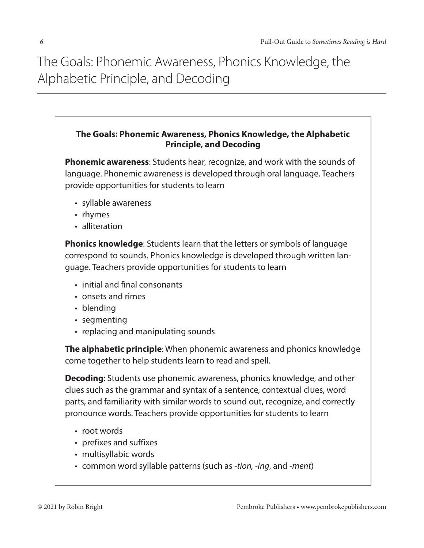The Goals: Phonemic Awareness, Phonics Knowledge, the Alphabetic Principle, and Decoding and into words. As students and into words. As into words. As students and : Guais. Friurienne Awareness, Friuries Niluwiedye, the the decoding skills learned earlier come into play as they encounter new and

#### **The Goals: Phonemic Awareness, Phonics Knowledge, the Alphabetic Principle, and Decoding**

**Phonemic awareness**: Students hear, recognize, and work with the sounds of language. Phonemic awareness is developed through oral language. Teachers provide opportunities for students to learn

- • syllable awareness
- rhymes
- alliteration

**Phonics knowledge**: Students learn that the letters or symbols of language correspond to sounds. Phonics knowledge is developed through written language. Teachers provide opportunities for students to learn

- initial and final consonants
- • onsets and rimes
- blending
- segmenting
- replacing and manipulating sounds

**The alphabetic principle**: When phonemic awareness and phonics knowledge come together to help students learn to read and spell.

**Decoding**: Students use phonemic awareness, phonics knowledge, and other clues such as the grammar and syntax of a sentence, contextual clues, word parts, and familiarity with similar words to sound out, recognize, and correctly pronounce words. Teachers provide opportunities for students to learn

- root words
- prefixes and suffixes
- multisyllabic words
- • common word syllable patterns (such as *-tion, -ing*, and -*ment*)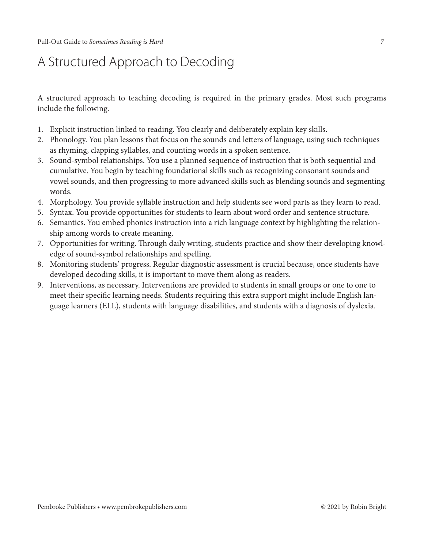## A Structured Approach to Decoding

A structured approach to teaching decoding is required in the primary grades. Most such programs include the following.

- 1. Explicit instruction linked to reading. You clearly and deliberately explain key skills.
- 2. Phonology. You plan lessons that focus on the sounds and letters of language, using such techniques as rhyming, clapping syllables, and counting words in a spoken sentence.
- 3. Sound-symbol relationships. You use a planned sequence of instruction that is both sequential and cumulative. You begin by teaching foundational skills such as recognizing consonant sounds and vowel sounds, and then progressing to more advanced skills such as blending sounds and segmenting words.
- 4. Morphology. You provide syllable instruction and help students see word parts as they learn to read.
- 5. Syntax. You provide opportunities for students to learn about word order and sentence structure.
- 6. Semantics. You embed phonics instruction into a rich language context by highlighting the relationship among words to create meaning.
- 7. Opportunities for writing. Through daily writing, students practice and show their developing knowledge of sound-symbol relationships and spelling.
- 8. Monitoring students' progress. Regular diagnostic assessment is crucial because, once students have developed decoding skills, it is important to move them along as readers.
- 9. Interventions, as necessary. Interventions are provided to students in small groups or one to one to meet their specific learning needs. Students requiring this extra support might include English language learners (ELL), students with language disabilities, and students with a diagnosis of dyslexia.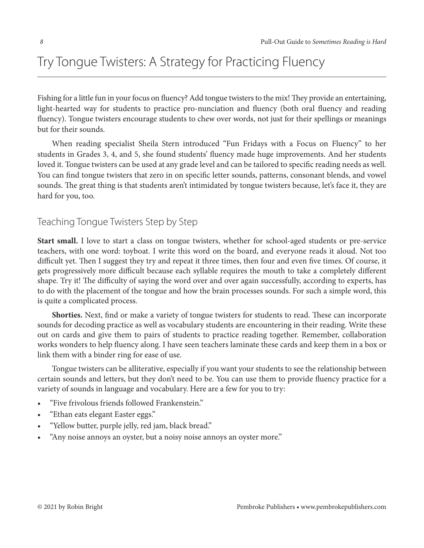# Try Tongue Twisters: A Strategy for Practicing Fluency

Fishing for a little fun in your focus on fluency? Add tongue twisters to the mix! They provide an entertaining, light-hearted way for students to practice pro-nunciation and fluency (both oral fluency and reading fluency). Tongue twisters encourage students to chew over words, not just for their spellings or meanings but for their sounds.

When reading specialist Sheila Stern introduced "Fun Fridays with a Focus on Fluency" to her students in Grades 3, 4, and 5, she found students' fluency made huge improvements. And her students loved it. Tongue twisters can be used at any grade level and can be tailored to specific reading needs as well. You can find tongue twisters that zero in on specific letter sounds, patterns, consonant blends, and vowel sounds. The great thing is that students aren't intimidated by tongue twisters because, let's face it, they are hard for you, too.

### Teaching Tongue Twisters Step by Step

**Start small.** I love to start a class on tongue twisters, whether for school-aged students or pre-service teachers, with one word: toyboat. I write this word on the board, and everyone reads it aloud. Not too difficult yet. Then I suggest they try and repeat it three times, then four and even five times. Of course, it gets progressively more difficult because each syllable requires the mouth to take a completely different shape. Try it! The difficulty of saying the word over and over again successfully, according to experts, has to do with the placement of the tongue and how the brain processes sounds. For such a simple word, this is quite a complicated process.

**Shorties.** Next, find or make a variety of tongue twisters for students to read. These can incorporate sounds for decoding practice as well as vocabulary students are encountering in their reading. Write these out on cards and give them to pairs of students to practice reading together. Remember, collaboration works wonders to help fluency along. I have seen teachers laminate these cards and keep them in a box or link them with a binder ring for ease of use.

Tongue twisters can be alliterative, especially if you want your students to see the relationship between certain sounds and letters, but they don't need to be. You can use them to provide fluency practice for a variety of sounds in language and vocabulary. Here are a few for you to try:

- "Five frivolous friends followed Frankenstein."
- "Ethan eats elegant Easter eggs."
- "Yellow butter, purple jelly, red jam, black bread."
- "Any noise annoys an oyster, but a noisy noise annoys an oyster more."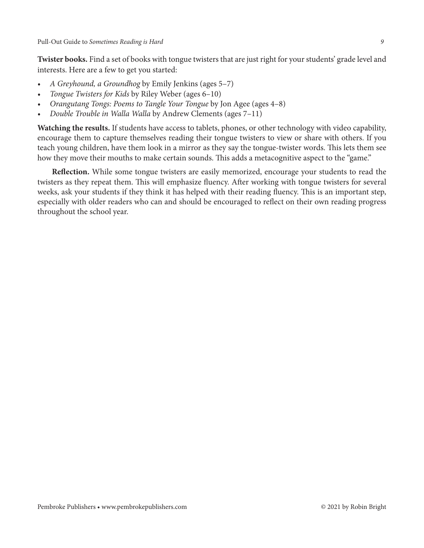**Twister books.** Find a set of books with tongue twisters that are just right for your students' grade level and interests. Here are a few to get you started:

- *• A Greyhound, a Groundhog* by Emily Jenkins (ages 5–7)
- *• Tongue Twisters for Kids* by Riley Weber (ages 6–10)
- *• Orangutang Tongs: Poems to Tangle Your Tongue* by Jon Agee (ages 4–8)
- *• Double Trouble in Walla Walla* by Andrew Clements (ages 7–11)

**Watching the results.** If students have access to tablets, phones, or other technology with video capability, encourage them to capture themselves reading their tongue twisters to view or share with others. If you teach young children, have them look in a mirror as they say the tongue-twister words. This lets them see how they move their mouths to make certain sounds. This adds a metacognitive aspect to the "game."

**Reflection.** While some tongue twisters are easily memorized, encourage your students to read the twisters as they repeat them. This will emphasize fluency. After working with tongue twisters for several weeks, ask your students if they think it has helped with their reading fluency. This is an important step, especially with older readers who can and should be encouraged to reflect on their own reading progress throughout the school year.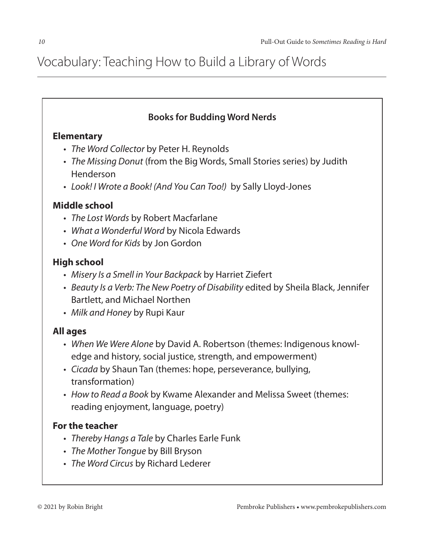### **Books for Budding Word Nerds**

### **Elementary**

- • *The Word Collector* by Peter H. Reynolds
- • *The Missing Donut* (from the Big Words, Small Stories series) by Judith Henderson
- • *Look! I Wrote a Book! (And You Can Too!)* by Sally Lloyd-Jones

### **Middle school**

- • *The Lost Words* by Robert Macfarlane
- • *What a Wonderful Word* by Nicola Edwards
- • *One Word for Kids* by Jon Gordon

### **High school**

- • *Misery Is a Smell in Your Backpack* by Harriet Ziefert
- • *Beauty Is a Verb: The New Poetry of Disability* edited by Sheila Black, Jennifer Bartlett, and Michael Northen
- • *Milk and Honey* by Rupi Kaur

### **All ages**

- • *When We Were Alone* by David A. Robertson (themes: Indigenous knowledge and history, social justice, strength, and empowerment)
- • *Cicada* by Shaun Tan (themes: hope, perseverance, bullying, transformation)
- • *How to Read a Book* by Kwame Alexander and Melissa Sweet (themes: reading enjoyment, language, poetry)

### **For the teacher**

- • *Thereby Hangs a Tale* by Charles Earle Funk
- • *The Mother Tongue* by Bill Bryson
- • *The Word Circus* by Richard Lederer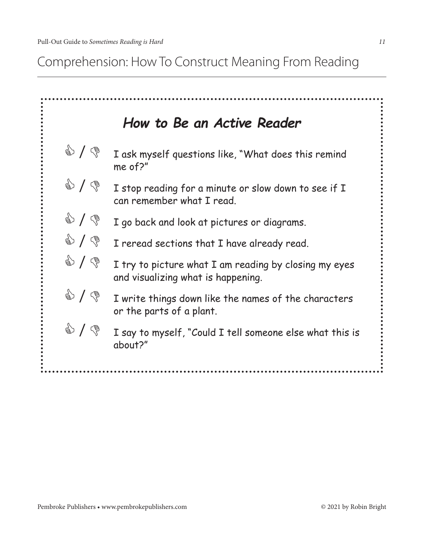active readers.

Comprehension: How To Construct Meaning From Reading and chart when the construct when may not measure

|                                     | How to Be an Active Reader                                                                  |
|-------------------------------------|---------------------------------------------------------------------------------------------|
| $\circledast$                       | I ask myself questions like, "What does this remind<br>me of?"                              |
| $\circledast$                       | I stop reading for a minute or slow down to see if I<br>can remember what I read.           |
| $\circledast$                       | I go back and look at pictures or diagrams.                                                 |
| $\circledast$                       | I reread sections that I have already read.                                                 |
| $\mathbb{S}$ / $\mathbb{S}$         | I try to picture what I am reading by closing my eyes<br>and visualizing what is happening. |
| $\circledast \setminus \circledast$ | I write things down like the names of the characters<br>or the parts of a plant.            |
| $\circledast$                       | I say to myself, "Could I tell someone else what this is<br>about?"                         |
|                                     |                                                                                             |